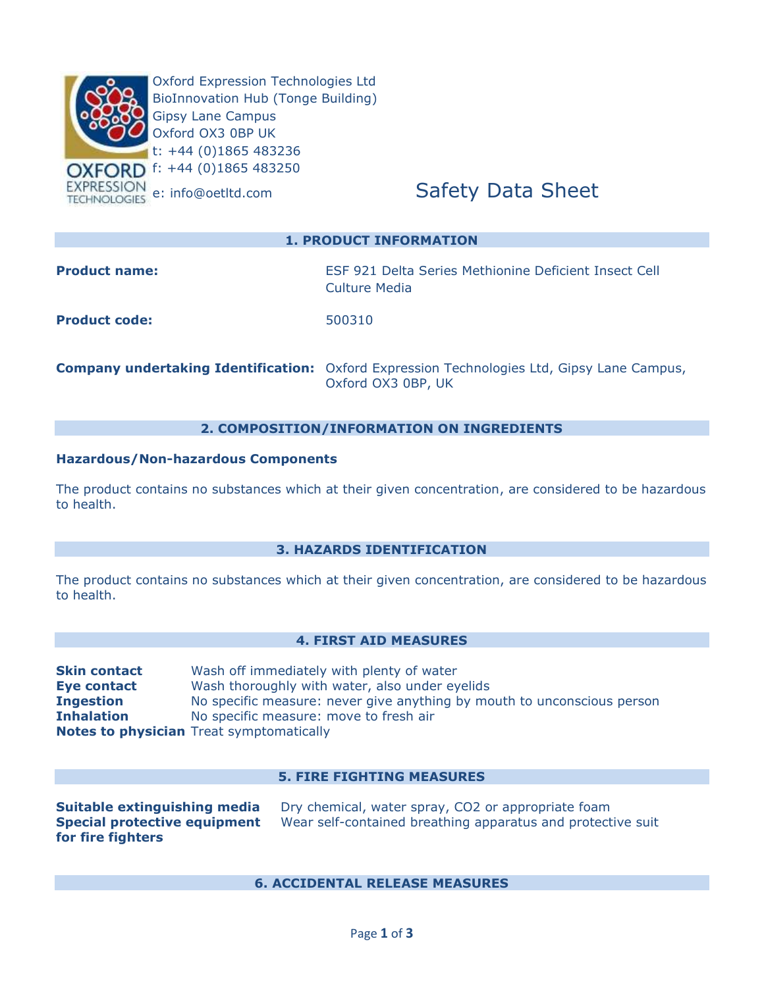

# **1. PRODUCT INFORMATION**

| <b>Product name:</b> | ESF 921 Delta Series Methionine Deficient Insect Cell<br>Culture Media                            |
|----------------------|---------------------------------------------------------------------------------------------------|
| <b>Product code:</b> | 500310                                                                                            |
|                      | <b>Company undertaking Identification:</b> Oxford Expression Technologies Ltd, Gipsy Lane Campus, |

# **2. COMPOSITION/INFORMATION ON INGREDIENTS**

Oxford OX3 0BP, UK

#### **Hazardous/Non-hazardous Components**

The product contains no substances which at their given concentration, are considered to be hazardous to health.

#### **3. HAZARDS IDENTIFICATION**

The product contains no substances which at their given concentration, are considered to be hazardous to health.

# **4. FIRST AID MEASURES**

| <b>Skin contact</b> | Wash off immediately with plenty of water                               |
|---------------------|-------------------------------------------------------------------------|
| Eye contact         | Wash thoroughly with water, also under eyelids                          |
| <b>Ingestion</b>    | No specific measure: never give anything by mouth to unconscious person |
| <b>Inhalation</b>   | No specific measure: move to fresh air                                  |
|                     | <b>Notes to physician</b> Treat symptomatically                         |

#### **5. FIRE FIGHTING MEASURES**

**for fire fighters**

**Suitable extinguishing media** Dry chemical, water spray, CO2 or appropriate foam **Special protective equipment** Wear self-contained breathing apparatus and protective suit

**6. ACCIDENTAL RELEASE MEASURES**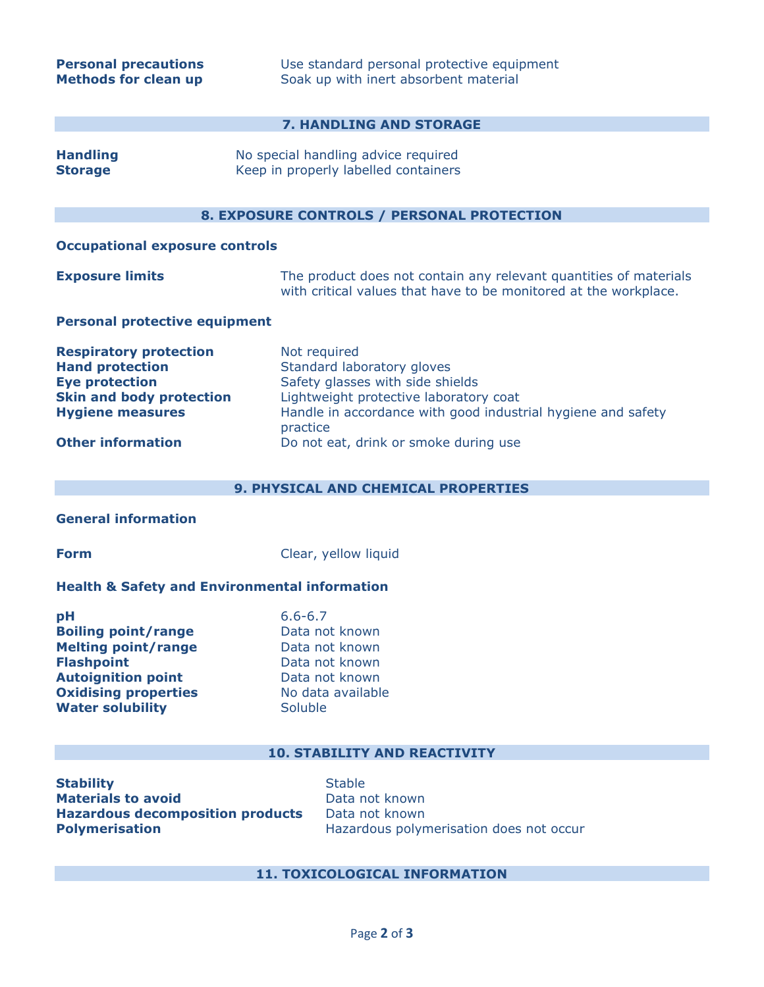# **7. HANDLING AND STORAGE**

| <b>Handling</b><br><b>Storage</b>                                                                                                                                          | No special handling advice required<br>Keep in properly labelled containers                                                                                                                                                                   |  |  |  |
|----------------------------------------------------------------------------------------------------------------------------------------------------------------------------|-----------------------------------------------------------------------------------------------------------------------------------------------------------------------------------------------------------------------------------------------|--|--|--|
|                                                                                                                                                                            | <b>8. EXPOSURE CONTROLS / PERSONAL PROTECTION</b>                                                                                                                                                                                             |  |  |  |
| <b>Occupational exposure controls</b>                                                                                                                                      |                                                                                                                                                                                                                                               |  |  |  |
| <b>Exposure limits</b>                                                                                                                                                     | The product does not contain any relevant quantities of materials<br>with critical values that have to be monitored at the workplace.                                                                                                         |  |  |  |
| <b>Personal protective equipment</b>                                                                                                                                       |                                                                                                                                                                                                                                               |  |  |  |
| <b>Respiratory protection</b><br><b>Hand protection</b><br><b>Eye protection</b><br><b>Skin and body protection</b><br><b>Hygiene measures</b><br><b>Other information</b> | Not required<br>Standard laboratory gloves<br>Safety glasses with side shields<br>Lightweight protective laboratory coat<br>Handle in accordance with good industrial hygiene and safety<br>practice<br>Do not eat, drink or smoke during use |  |  |  |
|                                                                                                                                                                            |                                                                                                                                                                                                                                               |  |  |  |

# **9. PHYSICAL AND CHEMICAL PROPERTIES**

# **General information**

**Form** Clear, yellow liquid

### **Health & Safety and Environmental information**

| рH                          |  |
|-----------------------------|--|
| <b>Boiling point/range</b>  |  |
| <b>Melting point/range</b>  |  |
| <b>Flashpoint</b>           |  |
| <b>Autoignition point</b>   |  |
| <b>Oxidising properties</b> |  |
| <b>Water solubility</b>     |  |

**pH** 6.6-6.7 **Data not known Data not known Flashpoint** Data not known **Data not known Oxidising properties** No data available **Soluble** 

### **10. STABILITY AND REACTIVITY**

**Stability** Stable **Materials to avoid** Data not known **Hazardous decomposition products** Data not known

**Polymerisation Hazardous polymerisation does not occur** 

# **11. TOXICOLOGICAL INFORMATION**